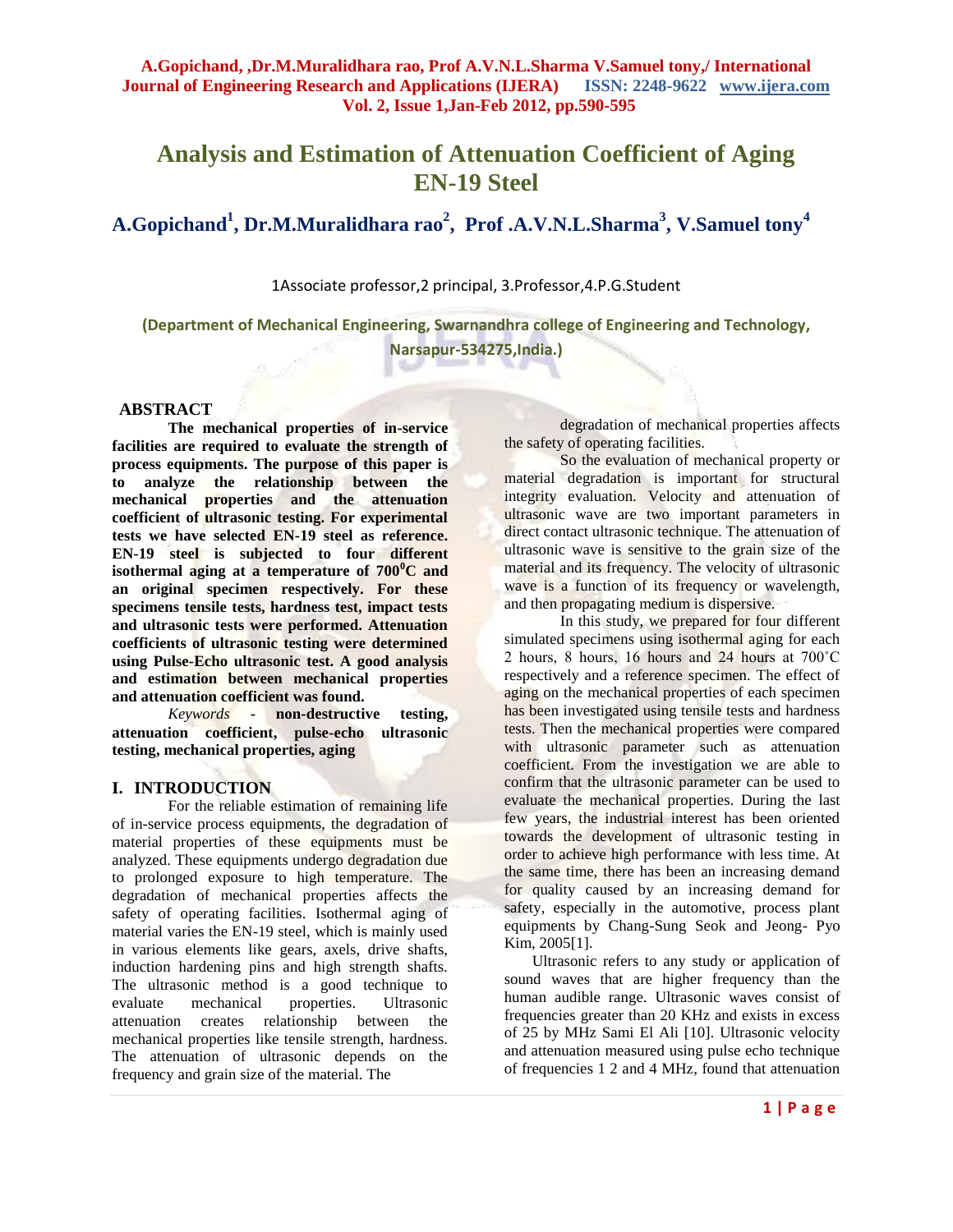# **Analysis and Estimation of Attenuation Coefficient of Aging EN-19 Steel**

# **A.Gopichand<sup>1</sup> , Dr.M.Muralidhara rao<sup>2</sup> , Prof .A.V.N.L.Sharma<sup>3</sup> , V.Samuel tony<sup>4</sup>**

1Associate professor,2 principal, 3.Professor,4.P.G.Student

**(Department of Mechanical Engineering, Swarnandhra college of Engineering and Technology, Narsapur-534275,India.)**

## **ABSTRACT**

**The mechanical properties of in-service facilities are required to evaluate the strength of process equipments. The purpose of this paper is to analyze the relationship between the mechanical properties and the attenuation coefficient of ultrasonic testing. For experimental tests we have selected EN-19 steel as reference. EN-19 steel is subjected to four different isothermal aging at a temperature of**  $700^{\circ}$ **C and an original specimen respectively. For these specimens tensile tests, hardness test, impact tests and ultrasonic tests were performed. Attenuation coefficients of ultrasonic testing were determined using Pulse-Echo ultrasonic test. A good analysis and estimation between mechanical properties and attenuation coefficient was found.**

*Keywords* **- non-destructive testing, attenuation coefficient, pulse-echo ultrasonic testing, mechanical properties, aging**

## **I. INTRODUCTION**

For the reliable estimation of remaining life of in-service process equipments, the degradation of material properties of these equipments must be analyzed. These equipments undergo degradation due to prolonged exposure to high temperature. The degradation of mechanical properties affects the safety of operating facilities. Isothermal aging of material varies the EN-19 steel, which is mainly used in various elements like gears, axels, drive shafts, induction hardening pins and high strength shafts. The ultrasonic method is a good technique to evaluate mechanical properties. Ultrasonic attenuation creates relationship between the mechanical properties like tensile strength, hardness. The attenuation of ultrasonic depends on the frequency and grain size of the material. The

degradation of mechanical properties affects the safety of operating facilities.

So the evaluation of mechanical property or material degradation is important for structural integrity evaluation. Velocity and attenuation of ultrasonic wave are two important parameters in direct contact ultrasonic technique. The attenuation of ultrasonic wave is sensitive to the grain size of the material and its frequency. The velocity of ultrasonic wave is a function of its frequency or wavelength, and then propagating medium is dispersive.

In this study, we prepared for four different simulated specimens using isothermal aging for each 2 hours, 8 hours, 16 hours and 24 hours at 700˚C respectively and a reference specimen. The effect of aging on the mechanical properties of each specimen has been investigated using tensile tests and hardness tests. Then the mechanical properties were compared with ultrasonic parameter such as attenuation coefficient. From the investigation we are able to confirm that the ultrasonic parameter can be used to evaluate the mechanical properties. During the last few years, the industrial interest has been oriented towards the development of ultrasonic testing in order to achieve high performance with less time. At the same time, there has been an increasing demand for quality caused by an increasing demand for safety, especially in the automotive, process plant equipments by Chang-Sung Seok and Jeong- Pyo Kim, 2005[1].

Ultrasonic refers to any study or application of sound waves that are higher frequency than the human audible range. Ultrasonic waves consist of frequencies greater than 20 KHz and exists in excess of 25 by MHz Sami El Ali [10]. Ultrasonic velocity and attenuation measured using pulse echo technique of frequencies 1 2 and 4 MHz, found that attenuation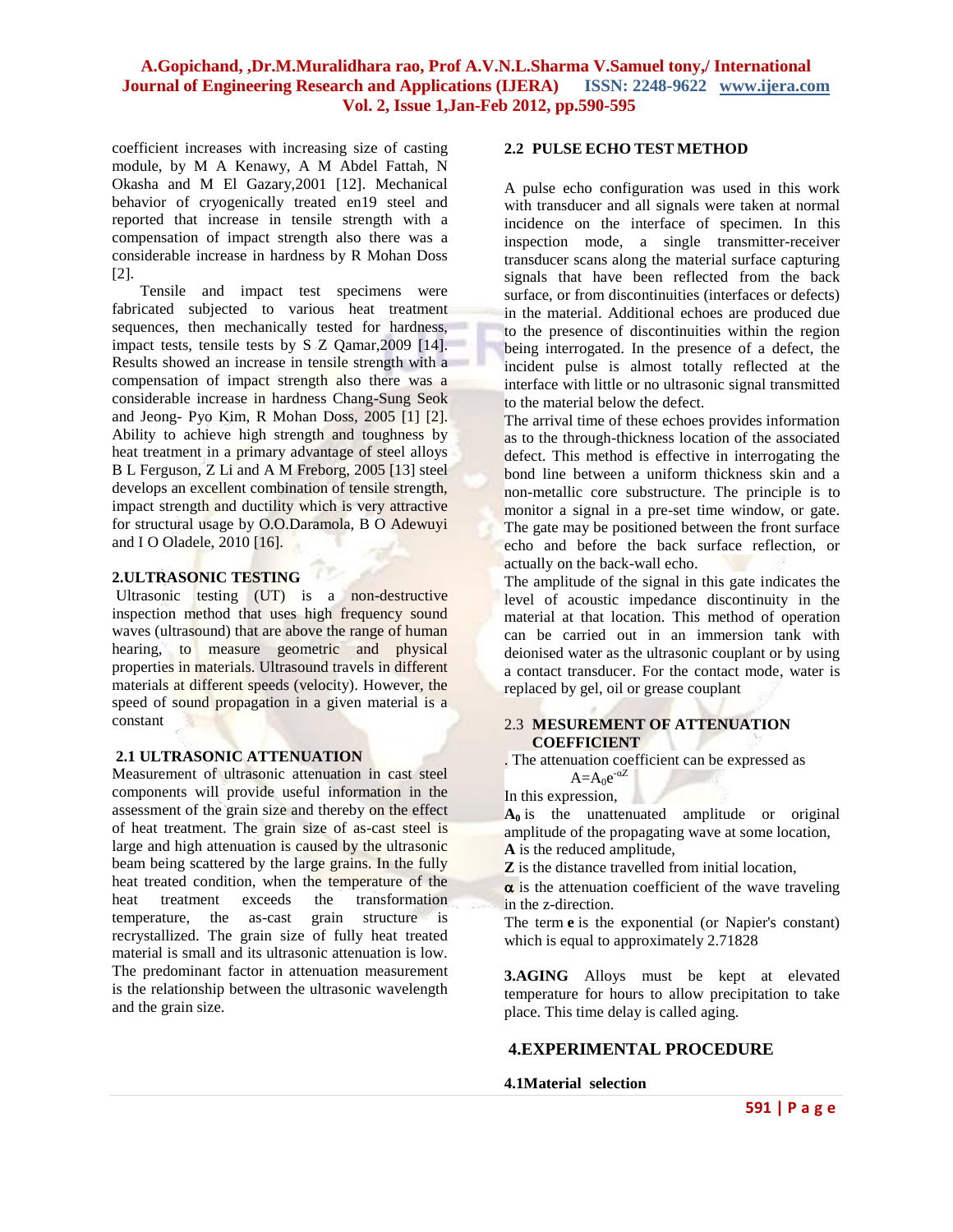coefficient increases with increasing size of casting module, by M A Kenawy, A M Abdel Fattah, N Okasha and M El Gazary,2001 [12]. Mechanical behavior of cryogenically treated en19 steel and reported that increase in tensile strength with a compensation of impact strength also there was a considerable increase in hardness by R Mohan Doss [2].

Tensile and impact test specimens were fabricated subjected to various heat treatment sequences, then mechanically tested for hardness, impact tests, tensile tests by S Z Qamar,2009 [14]. Results showed an increase in tensile strength with a compensation of impact strength also there was a considerable increase in hardness Chang-Sung Seok and Jeong- Pyo Kim, R Mohan Doss, 2005 [1] [2]. Ability to achieve high strength and toughness by heat treatment in a primary advantage of steel alloys B L Ferguson, Z Li and A M Freborg, 2005 [13] steel develops an excellent combination of tensile strength, impact strength and ductility which is very attractive for structural usage by O.O.Daramola, B O Adewuyi and I O Oladele, 2010 [16].

### **2.ULTRASONIC TESTING**

Ultrasonic testing (UT) is a non-destructive inspection method that uses high frequency sound waves (ultrasound) that are above the range of human hearing, to measure geometric and physical properties in materials. Ultrasound travels in different materials at different speeds (velocity). However, the speed of sound propagation in a given material is a constant

### **2.1 ULTRASONIC ATTENUATION**

Measurement of ultrasonic attenuation in cast steel components will provide useful information in the assessment of the grain size and thereby on the effect of heat treatment. The grain size of as-cast steel is large and high attenuation is caused by the ultrasonic beam being scattered by the large grains. In the fully heat treated condition, when the temperature of the heat treatment exceeds the transformation temperature, the as-cast grain structure is recrystallized. The grain size of fully heat treated material is small and its ultrasonic attenuation is low. The predominant factor in attenuation measurement is the relationship between the ultrasonic wavelength and the grain size.

#### **2.2 PULSE ECHO TEST METHOD**

A pulse echo configuration was used in this work with transducer and all signals were taken at normal incidence on the interface of specimen. In this inspection mode, a single transmitter-receiver transducer scans along the material surface capturing signals that have been reflected from the back surface, or from discontinuities (interfaces or defects) in the material. Additional echoes are produced due to the presence of discontinuities within the region being interrogated. In the presence of a defect, the incident pulse is almost totally reflected at the interface with little or no ultrasonic signal transmitted to the material below the defect.

The arrival time of these echoes provides information as to the through-thickness location of the associated defect. This method is effective in interrogating the bond line between a uniform thickness skin and a non-metallic core substructure. The principle is to monitor a signal in a pre-set time window, or gate. The gate may be positioned between the front surface echo and before the back surface reflection, or actually on the back-wall echo.

The amplitude of the signal in this gate indicates the level of acoustic impedance discontinuity in the material at that location. This method of operation can be carried out in an immersion tank with deionised water as the ultrasonic couplant or by using a contact transducer. For the contact mode, water is replaced by gel, oil or grease couplant

#### 2.3 **MESUREMENT OF ATTENUATION COEFFICIENT**

. The attenuation coefficient can be expressed as  $A=A_0e^{-\alpha Z}$ 

#### In this expression,

 $\mathbf{A}_0$  is the unattenuated amplitude or original amplitude of the propagating wave at some location, **A** is the reduced amplitude,

**Z** is the distance travelled from initial location,

 $\alpha$  is the attenuation coefficient of the wave traveling in the z-direction.

The term **e** is the exponential (or Napier's constant) which is equal to approximately 2.71828

**3.AGING** Alloys must be kept at elevated temperature for hours to allow precipitation to take place. This time delay is called aging.

### **4.EXPERIMENTAL PROCEDURE**

#### **4.1Material selection**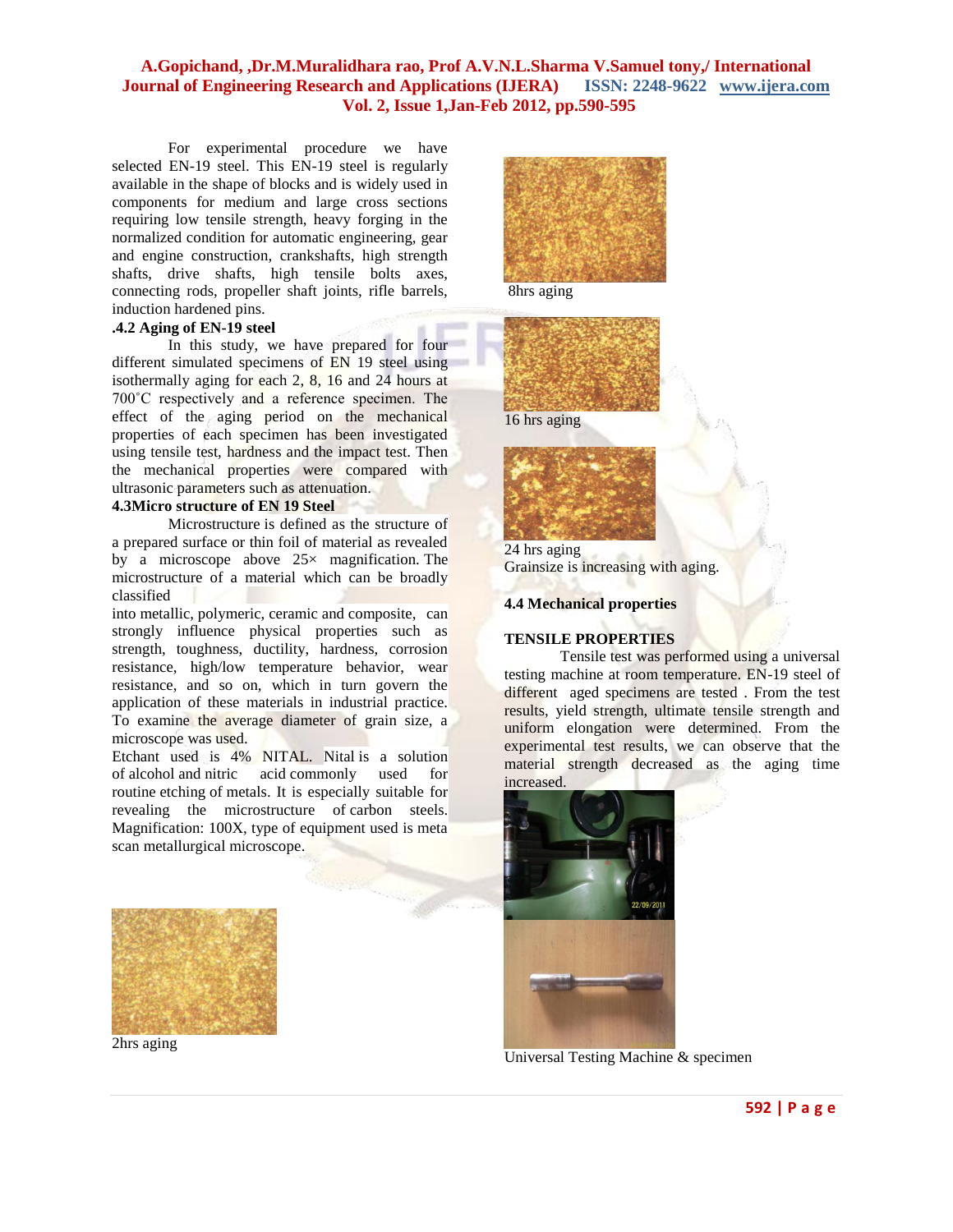For experimental procedure we have selected EN-19 steel. This EN-19 steel is regularly available in the shape of blocks and is widely used in components for medium and large cross sections requiring low tensile strength, heavy forging in the normalized condition for automatic engineering, gear and engine construction, crankshafts, high strength shafts, drive shafts, high tensile bolts axes, connecting rods, propeller shaft joints, rifle barrels, induction hardened pins.

## **.4.2 Aging of EN-19 steel**

In this study, we have prepared for four different simulated specimens of EN 19 steel using isothermally aging for each 2, 8, 16 and 24 hours at 700˚C respectively and a reference specimen. The effect of the aging period on the mechanical properties of each specimen has been investigated using tensile test, hardness and the impact test. Then the mechanical properties were compared with ultrasonic parameters such as attenuation.

## **4.3Micro structure of EN 19 Steel**

Microstructure is defined as the structure of a prepared surface or thin foil of material as revealed by a microscope above  $25\times$  magnification. The microstructure of a material which can be broadly classified

into metallic, polymeric, ceramic and composite, can strongly influence physical properties such as strength, toughness, ductility, hardness, corrosion resistance, high/low temperature behavior, wear resistance, and so on, which in turn govern the application of these materials in industrial practice. To examine the average diameter of grain size, a microscope was used.

Etchant used is 4% NITAL. Nital is a solution of alcohol and nitric acid commonly used for routine etching of metals. It is especially suitable for revealing the microstructure of carbon steels. Magnification: 100X, type of equipment used is meta scan metallurgical microscope.



2hrs aging



8hrs aging





24 hrs aging Grainsize is increasing with aging.

#### **4.4 Mechanical properties**

### **TENSILE PROPERTIES**

Tensile test was performed using a universal testing machine at room temperature. EN-19 steel of different aged specimens are tested . From the test results, yield strength, ultimate tensile strength and uniform elongation were determined. From the experimental test results, we can observe that the material strength decreased as the aging time increased.



Universal Testing Machine & specimen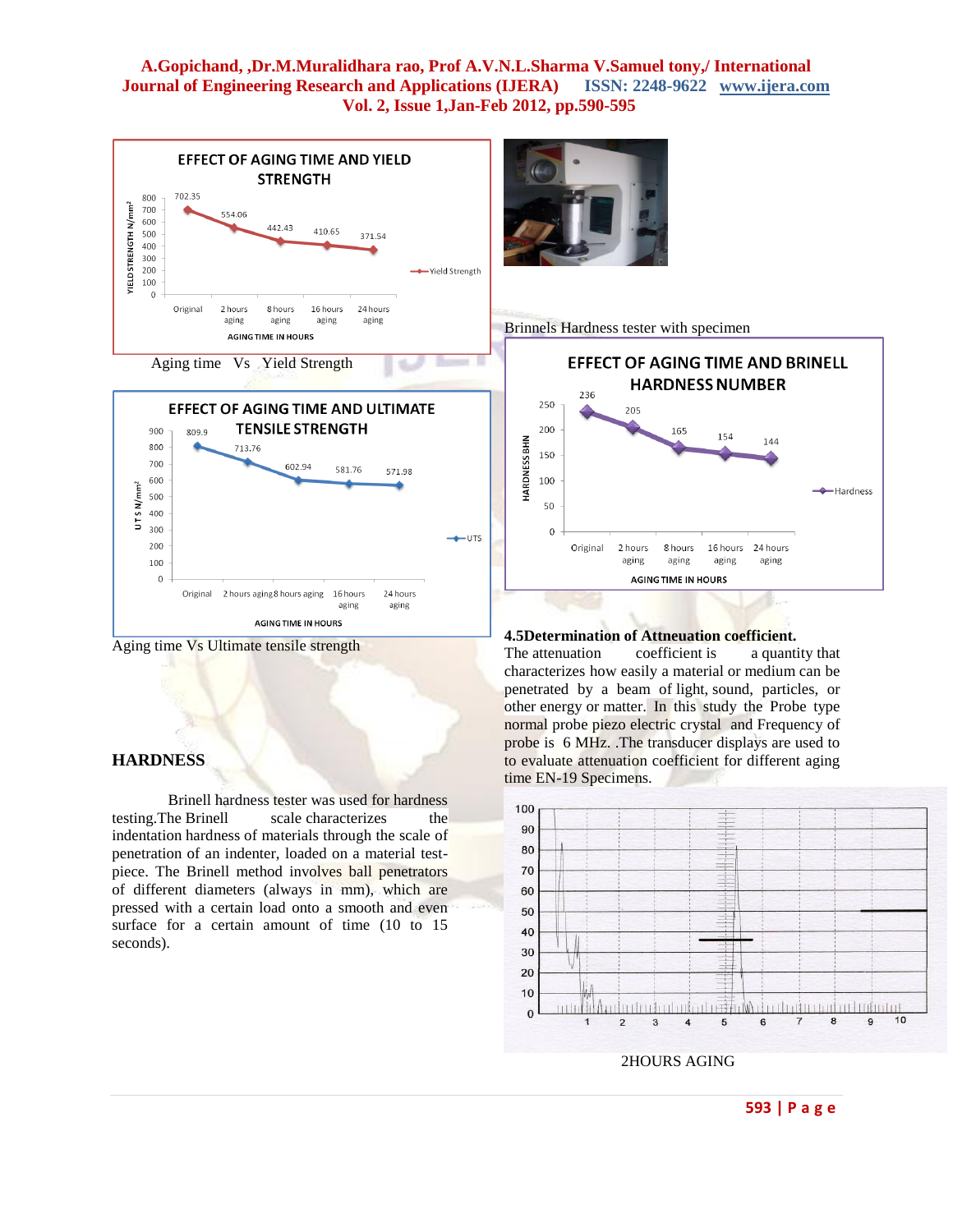



#### **HARDNESS**

Brinell hardness tester was used for hardness testing.The Brinell scale characterizes the indentation hardness of materials through the scale of penetration of an indenter, loaded on a material testpiece. The Brinell method involves ball penetrators of different diameters (always in mm), which are pressed with a certain load onto a smooth and even surface for a certain amount of time (10 to 15 seconds).



Brinnels Hardness tester with specimen



#### **4.5Determination of Attneuation coefficient.**

The attenuation coefficient is a quantity that characterizes how easily a material or medium can be penetrated by a beam of light, sound, particles, or other energy or matter. In this study the Probe type normal probe piezo electric crystal and Frequency of probe is 6 MHz. .The transducer displays are used to to evaluate attenuation coefficient for different aging time EN-19 Specimens.



2HOURS AGING

#### **593 | P a g e**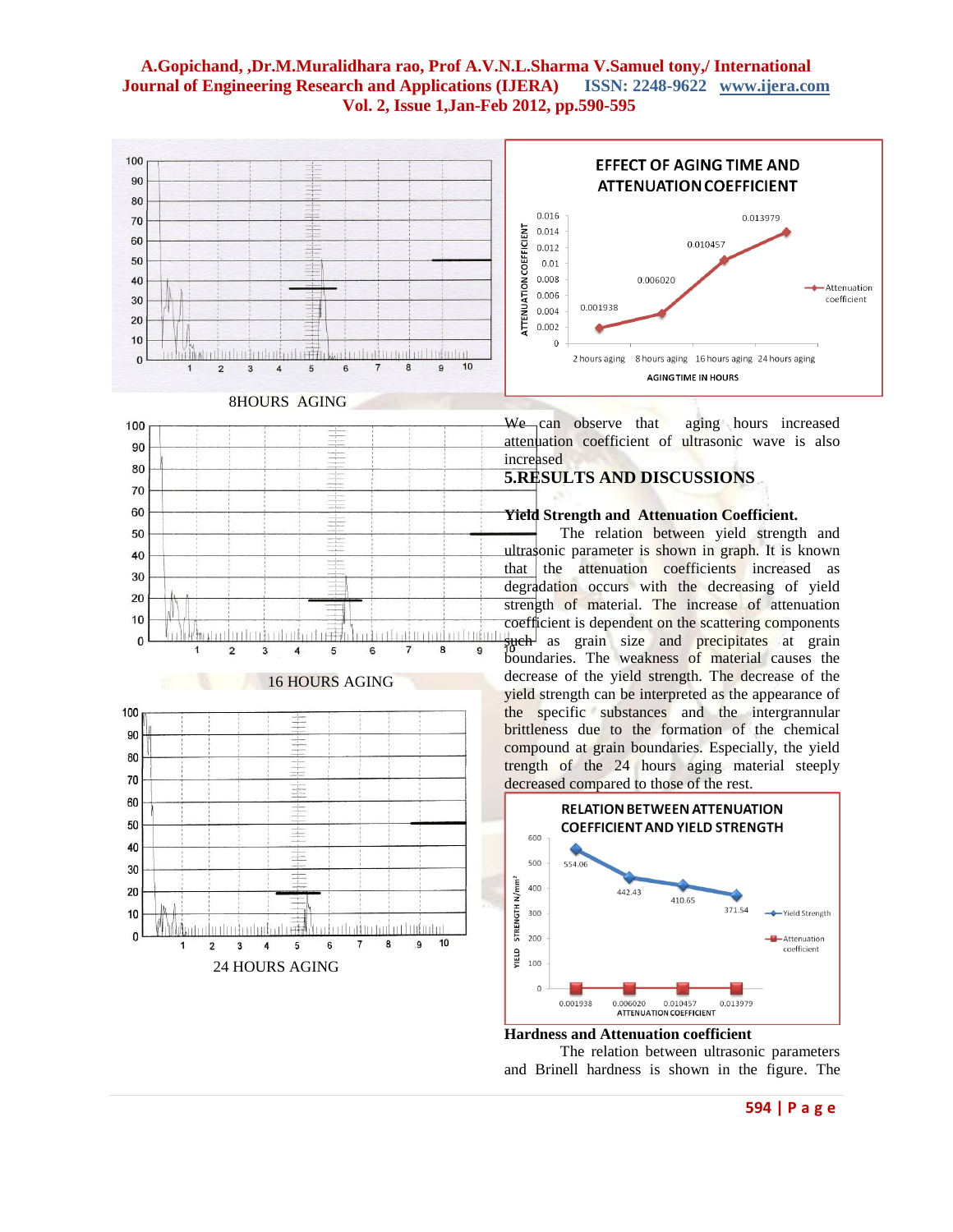





24 HOURS AGING

 $\overline{2}$  $\overline{\mathbf{3}}$  $\overline{\mathbf{4}}$ 5

 $H$ 

a thain a

 $\overline{7}$ 6

ad ou Ludo dou

 $\overline{9}$ 10

 $\bf{8}$ 

 $10$ 

 $\mathbf{0}$ 

We can observe that aging hours increased attenuation coefficient of ultrasonic wave is also increased

## **5.RESULTS AND DISCUSSIONS**

## **Yield Strength and Attenuation Coefficient.**

The relation between yield strength and ultrasonic parameter is shown in graph. It is known that the attenuation coefficients increased as degradation occurs with the decreasing of yield strength of material. The increase of attenuation coefficient is dependent on the scattering components such as grain size and precipitates at grain boundaries. The weakness of material causes the decrease of the yield strength. The decrease of the yield strength can be interpreted as the appearance of the specific substances and the intergrannular brittleness due to the formation of the chemical compound at grain boundaries. Especially, the yield trength of the 24 hours aging material steeply decreased compared to those of the rest.



#### **Hardness and Attenuation coefficient**

The relation between ultrasonic parameters and Brinell hardness is shown in the figure. The